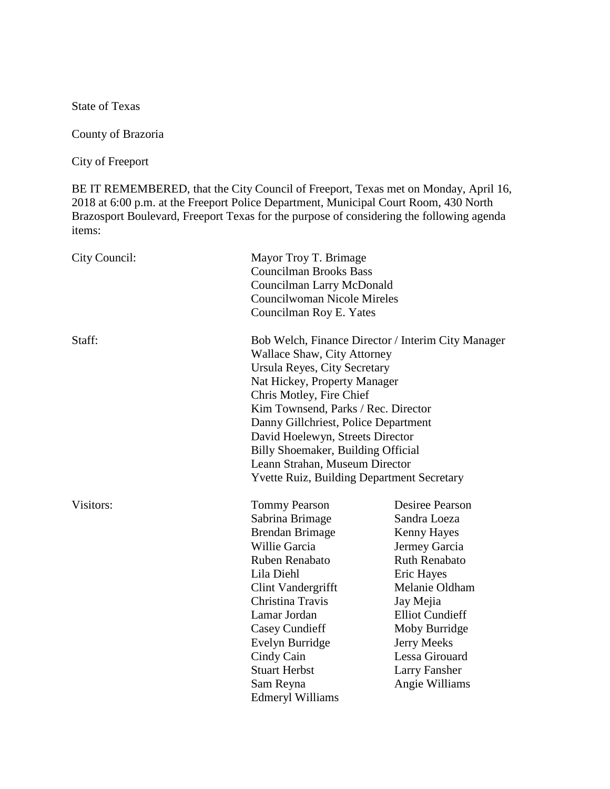State of Texas

County of Brazoria

City of Freeport

BE IT REMEMBERED, that the City Council of Freeport, Texas met on Monday, April 16, 2018 at 6:00 p.m. at the Freeport Police Department, Municipal Court Room, 430 North Brazosport Boulevard, Freeport Texas for the purpose of considering the following agenda items:

| City Council: | Mayor Troy T. Brimage<br><b>Councilman Brooks Bass</b><br>Councilman Larry McDonald<br><b>Councilwoman Nicole Mireles</b><br>Councilman Roy E. Yates                                                                                                                                                                                                                                                                          |                                                                                                                                                                                                                                                                          |
|---------------|-------------------------------------------------------------------------------------------------------------------------------------------------------------------------------------------------------------------------------------------------------------------------------------------------------------------------------------------------------------------------------------------------------------------------------|--------------------------------------------------------------------------------------------------------------------------------------------------------------------------------------------------------------------------------------------------------------------------|
| Staff:        | Bob Welch, Finance Director / Interim City Manager<br>Wallace Shaw, City Attorney<br>Ursula Reyes, City Secretary<br>Nat Hickey, Property Manager<br>Chris Motley, Fire Chief<br>Kim Townsend, Parks / Rec. Director<br>Danny Gillchriest, Police Department<br>David Hoelewyn, Streets Director<br>Billy Shoemaker, Building Official<br>Leann Strahan, Museum Director<br><b>Yvette Ruiz, Building Department Secretary</b> |                                                                                                                                                                                                                                                                          |
| Visitors:     | <b>Tommy Pearson</b><br>Sabrina Brimage<br><b>Brendan Brimage</b><br>Willie Garcia<br>Ruben Renabato<br>Lila Diehl<br>Clint Vandergrifft<br>Christina Travis<br>Lamar Jordan<br><b>Casey Cundieff</b><br>Evelyn Burridge<br>Cindy Cain<br><b>Stuart Herbst</b><br>Sam Reyna<br><b>Edmeryl Williams</b>                                                                                                                        | <b>Desiree Pearson</b><br>Sandra Loeza<br><b>Kenny Hayes</b><br>Jermey Garcia<br><b>Ruth Renabato</b><br>Eric Hayes<br>Melanie Oldham<br>Jay Mejia<br><b>Elliot Cundieff</b><br>Moby Burridge<br>Jerry Meeks<br>Lessa Girouard<br><b>Larry Fansher</b><br>Angie Williams |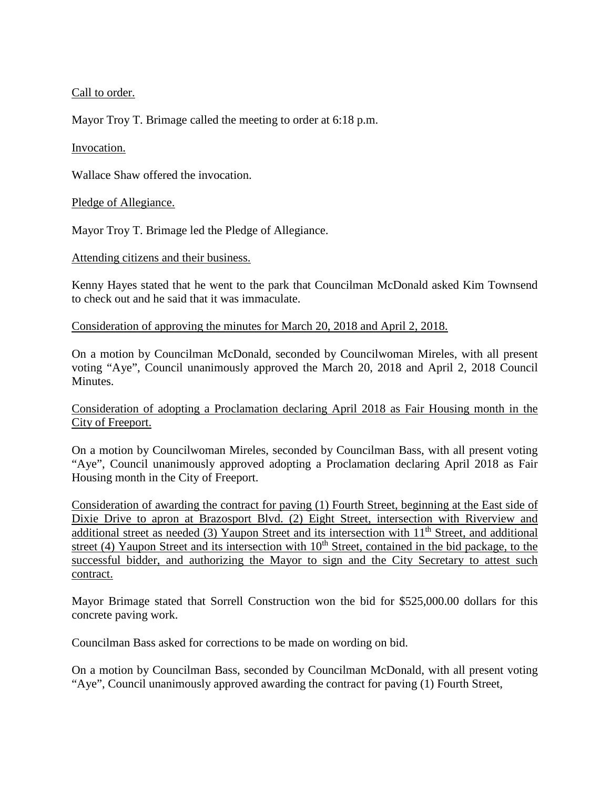Call to order.

Mayor Troy T. Brimage called the meeting to order at 6:18 p.m.

## Invocation.

Wallace Shaw offered the invocation.

### Pledge of Allegiance.

Mayor Troy T. Brimage led the Pledge of Allegiance.

### Attending citizens and their business.

Kenny Hayes stated that he went to the park that Councilman McDonald asked Kim Townsend to check out and he said that it was immaculate.

### Consideration of approving the minutes for March 20, 2018 and April 2, 2018.

On a motion by Councilman McDonald, seconded by Councilwoman Mireles, with all present voting "Aye", Council unanimously approved the March 20, 2018 and April 2, 2018 Council Minutes.

Consideration of adopting a Proclamation declaring April 2018 as Fair Housing month in the City of Freeport.

On a motion by Councilwoman Mireles, seconded by Councilman Bass, with all present voting "Aye", Council unanimously approved adopting a Proclamation declaring April 2018 as Fair Housing month in the City of Freeport.

Consideration of awarding the contract for paving (1) Fourth Street, beginning at the East side of Dixie Drive to apron at Brazosport Blvd. (2) Eight Street, intersection with Riverview and additional street as needed (3) Yaupon Street and its intersection with  $11<sup>th</sup>$  Street, and additional street (4) Yaupon Street and its intersection with  $10<sup>th</sup>$  Street, contained in the bid package, to the successful bidder, and authorizing the Mayor to sign and the City Secretary to attest such contract.

Mayor Brimage stated that Sorrell Construction won the bid for \$525,000.00 dollars for this concrete paving work.

Councilman Bass asked for corrections to be made on wording on bid.

On a motion by Councilman Bass, seconded by Councilman McDonald, with all present voting "Aye", Council unanimously approved awarding the contract for paving (1) Fourth Street,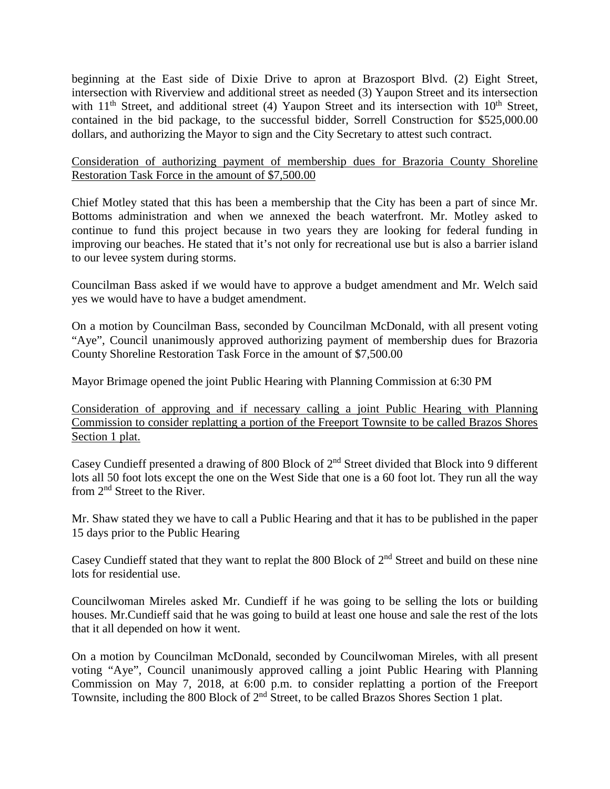beginning at the East side of Dixie Drive to apron at Brazosport Blvd. (2) Eight Street, intersection with Riverview and additional street as needed (3) Yaupon Street and its intersection with  $11<sup>th</sup>$  Street, and additional street (4) Yaupon Street and its intersection with  $10<sup>th</sup>$  Street, contained in the bid package, to the successful bidder, Sorrell Construction for \$525,000.00 dollars, and authorizing the Mayor to sign and the City Secretary to attest such contract.

## Consideration of authorizing payment of membership dues for Brazoria County Shoreline Restoration Task Force in the amount of \$7,500.00

Chief Motley stated that this has been a membership that the City has been a part of since Mr. Bottoms administration and when we annexed the beach waterfront. Mr. Motley asked to continue to fund this project because in two years they are looking for federal funding in improving our beaches. He stated that it's not only for recreational use but is also a barrier island to our levee system during storms.

Councilman Bass asked if we would have to approve a budget amendment and Mr. Welch said yes we would have to have a budget amendment.

On a motion by Councilman Bass, seconded by Councilman McDonald, with all present voting "Aye", Council unanimously approved authorizing payment of membership dues for Brazoria County Shoreline Restoration Task Force in the amount of \$7,500.00

Mayor Brimage opened the joint Public Hearing with Planning Commission at 6:30 PM

Consideration of approving and if necessary calling a joint Public Hearing with Planning Commission to consider replatting a portion of the Freeport Townsite to be called Brazos Shores Section 1 plat.

Casey Cundieff presented a drawing of 800 Block of 2nd Street divided that Block into 9 different lots all 50 foot lots except the one on the West Side that one is a 60 foot lot. They run all the way from 2nd Street to the River.

Mr. Shaw stated they we have to call a Public Hearing and that it has to be published in the paper 15 days prior to the Public Hearing

Casey Cundieff stated that they want to replat the 800 Block of 2<sup>nd</sup> Street and build on these nine lots for residential use.

Councilwoman Mireles asked Mr. Cundieff if he was going to be selling the lots or building houses. Mr.Cundieff said that he was going to build at least one house and sale the rest of the lots that it all depended on how it went.

On a motion by Councilman McDonald, seconded by Councilwoman Mireles, with all present voting "Aye", Council unanimously approved calling a joint Public Hearing with Planning Commission on May 7, 2018, at 6:00 p.m. to consider replatting a portion of the Freeport Townsite, including the 800 Block of 2<sup>nd</sup> Street, to be called Brazos Shores Section 1 plat.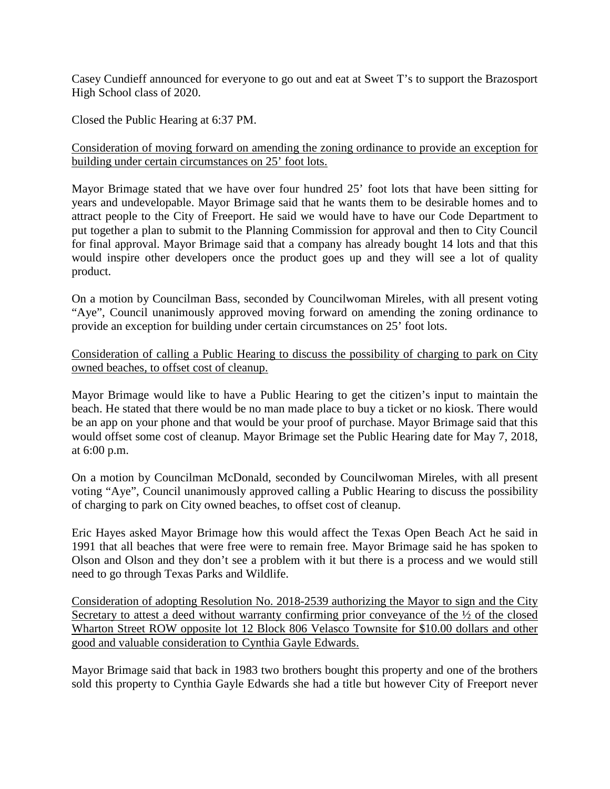Casey Cundieff announced for everyone to go out and eat at Sweet T's to support the Brazosport High School class of 2020.

Closed the Public Hearing at 6:37 PM.

## Consideration of moving forward on amending the zoning ordinance to provide an exception for building under certain circumstances on 25' foot lots.

Mayor Brimage stated that we have over four hundred 25' foot lots that have been sitting for years and undevelopable. Mayor Brimage said that he wants them to be desirable homes and to attract people to the City of Freeport. He said we would have to have our Code Department to put together a plan to submit to the Planning Commission for approval and then to City Council for final approval. Mayor Brimage said that a company has already bought 14 lots and that this would inspire other developers once the product goes up and they will see a lot of quality product.

On a motion by Councilman Bass, seconded by Councilwoman Mireles, with all present voting "Aye", Council unanimously approved moving forward on amending the zoning ordinance to provide an exception for building under certain circumstances on 25' foot lots.

## Consideration of calling a Public Hearing to discuss the possibility of charging to park on City owned beaches, to offset cost of cleanup.

Mayor Brimage would like to have a Public Hearing to get the citizen's input to maintain the beach. He stated that there would be no man made place to buy a ticket or no kiosk. There would be an app on your phone and that would be your proof of purchase. Mayor Brimage said that this would offset some cost of cleanup. Mayor Brimage set the Public Hearing date for May 7, 2018, at 6:00 p.m.

On a motion by Councilman McDonald, seconded by Councilwoman Mireles, with all present voting "Aye", Council unanimously approved calling a Public Hearing to discuss the possibility of charging to park on City owned beaches, to offset cost of cleanup.

Eric Hayes asked Mayor Brimage how this would affect the Texas Open Beach Act he said in 1991 that all beaches that were free were to remain free. Mayor Brimage said he has spoken to Olson and Olson and they don't see a problem with it but there is a process and we would still need to go through Texas Parks and Wildlife.

Consideration of adopting Resolution No. 2018-2539 authorizing the Mayor to sign and the City Secretary to attest a deed without warranty confirming prior conveyance of the  $\frac{1}{2}$  of the closed Wharton Street ROW opposite lot 12 Block 806 Velasco Townsite for \$10.00 dollars and other good and valuable consideration to Cynthia Gayle Edwards.

Mayor Brimage said that back in 1983 two brothers bought this property and one of the brothers sold this property to Cynthia Gayle Edwards she had a title but however City of Freeport never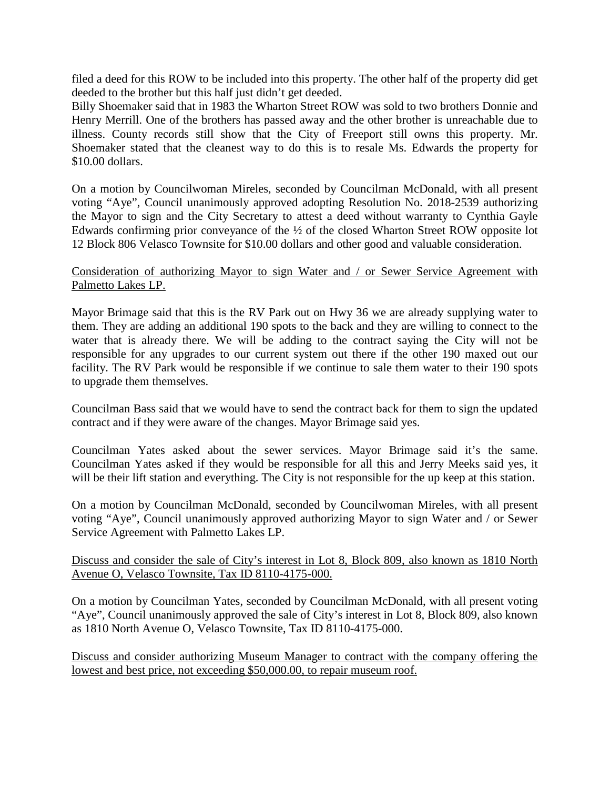filed a deed for this ROW to be included into this property. The other half of the property did get deeded to the brother but this half just didn't get deeded.

Billy Shoemaker said that in 1983 the Wharton Street ROW was sold to two brothers Donnie and Henry Merrill. One of the brothers has passed away and the other brother is unreachable due to illness. County records still show that the City of Freeport still owns this property. Mr. Shoemaker stated that the cleanest way to do this is to resale Ms. Edwards the property for \$10.00 dollars.

On a motion by Councilwoman Mireles, seconded by Councilman McDonald, with all present voting "Aye", Council unanimously approved adopting Resolution No. 2018-2539 authorizing the Mayor to sign and the City Secretary to attest a deed without warranty to Cynthia Gayle Edwards confirming prior conveyance of the ½ of the closed Wharton Street ROW opposite lot 12 Block 806 Velasco Townsite for \$10.00 dollars and other good and valuable consideration.

## Consideration of authorizing Mayor to sign Water and / or Sewer Service Agreement with Palmetto Lakes LP.

Mayor Brimage said that this is the RV Park out on Hwy 36 we are already supplying water to them. They are adding an additional 190 spots to the back and they are willing to connect to the water that is already there. We will be adding to the contract saying the City will not be responsible for any upgrades to our current system out there if the other 190 maxed out our facility. The RV Park would be responsible if we continue to sale them water to their 190 spots to upgrade them themselves.

Councilman Bass said that we would have to send the contract back for them to sign the updated contract and if they were aware of the changes. Mayor Brimage said yes.

Councilman Yates asked about the sewer services. Mayor Brimage said it's the same. Councilman Yates asked if they would be responsible for all this and Jerry Meeks said yes, it will be their lift station and everything. The City is not responsible for the up keep at this station.

On a motion by Councilman McDonald, seconded by Councilwoman Mireles, with all present voting "Aye", Council unanimously approved authorizing Mayor to sign Water and / or Sewer Service Agreement with Palmetto Lakes LP.

## Discuss and consider the sale of City's interest in Lot 8, Block 809, also known as 1810 North Avenue O, Velasco Townsite, Tax ID 8110-4175-000.

On a motion by Councilman Yates, seconded by Councilman McDonald, with all present voting "Aye", Council unanimously approved the sale of City's interest in Lot 8, Block 809, also known as 1810 North Avenue O, Velasco Townsite, Tax ID 8110-4175-000.

Discuss and consider authorizing Museum Manager to contract with the company offering the lowest and best price, not exceeding \$50,000.00, to repair museum roof.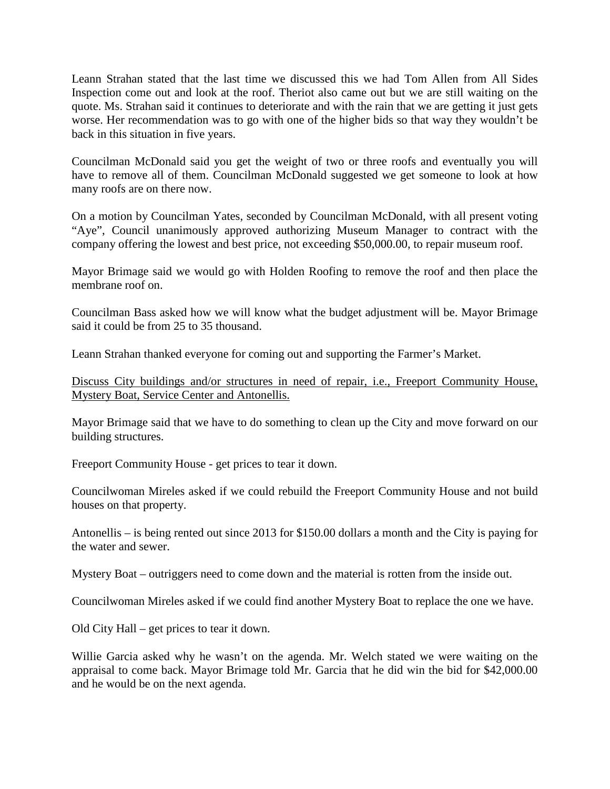Leann Strahan stated that the last time we discussed this we had Tom Allen from All Sides Inspection come out and look at the roof. Theriot also came out but we are still waiting on the quote. Ms. Strahan said it continues to deteriorate and with the rain that we are getting it just gets worse. Her recommendation was to go with one of the higher bids so that way they wouldn't be back in this situation in five years.

Councilman McDonald said you get the weight of two or three roofs and eventually you will have to remove all of them. Councilman McDonald suggested we get someone to look at how many roofs are on there now.

On a motion by Councilman Yates, seconded by Councilman McDonald, with all present voting "Aye", Council unanimously approved authorizing Museum Manager to contract with the company offering the lowest and best price, not exceeding \$50,000.00, to repair museum roof.

Mayor Brimage said we would go with Holden Roofing to remove the roof and then place the membrane roof on.

Councilman Bass asked how we will know what the budget adjustment will be. Mayor Brimage said it could be from 25 to 35 thousand.

Leann Strahan thanked everyone for coming out and supporting the Farmer's Market.

Discuss City buildings and/or structures in need of repair, i.e., Freeport Community House, Mystery Boat, Service Center and Antonellis.

Mayor Brimage said that we have to do something to clean up the City and move forward on our building structures.

Freeport Community House - get prices to tear it down.

Councilwoman Mireles asked if we could rebuild the Freeport Community House and not build houses on that property.

Antonellis – is being rented out since 2013 for \$150.00 dollars a month and the City is paying for the water and sewer.

Mystery Boat – outriggers need to come down and the material is rotten from the inside out.

Councilwoman Mireles asked if we could find another Mystery Boat to replace the one we have.

Old City Hall – get prices to tear it down.

Willie Garcia asked why he wasn't on the agenda. Mr. Welch stated we were waiting on the appraisal to come back. Mayor Brimage told Mr. Garcia that he did win the bid for \$42,000.00 and he would be on the next agenda.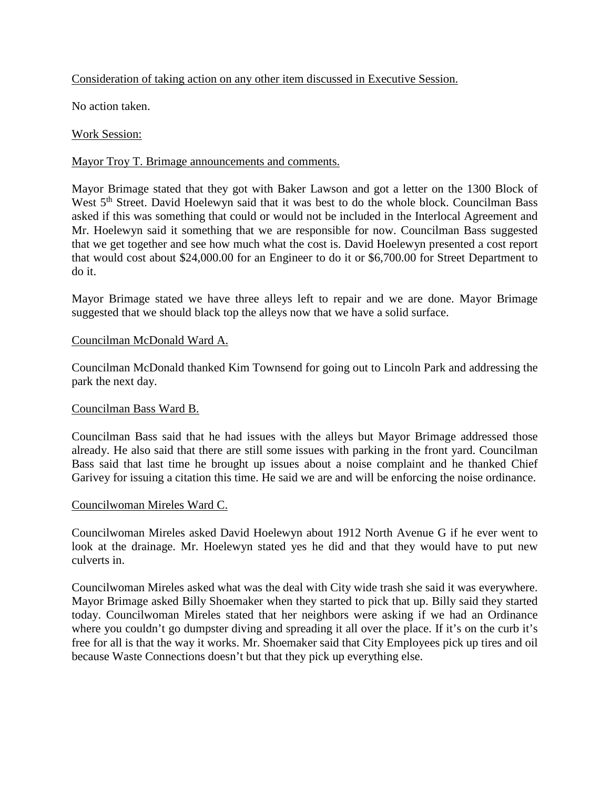# Consideration of taking action on any other item discussed in Executive Session.

No action taken.

# Work Session:

# Mayor Troy T. Brimage announcements and comments.

Mayor Brimage stated that they got with Baker Lawson and got a letter on the 1300 Block of West 5<sup>th</sup> Street. David Hoelewyn said that it was best to do the whole block. Councilman Bass asked if this was something that could or would not be included in the Interlocal Agreement and Mr. Hoelewyn said it something that we are responsible for now. Councilman Bass suggested that we get together and see how much what the cost is. David Hoelewyn presented a cost report that would cost about \$24,000.00 for an Engineer to do it or \$6,700.00 for Street Department to do it.

Mayor Brimage stated we have three alleys left to repair and we are done. Mayor Brimage suggested that we should black top the alleys now that we have a solid surface.

## Councilman McDonald Ward A.

Councilman McDonald thanked Kim Townsend for going out to Lincoln Park and addressing the park the next day.

# Councilman Bass Ward B.

Councilman Bass said that he had issues with the alleys but Mayor Brimage addressed those already. He also said that there are still some issues with parking in the front yard. Councilman Bass said that last time he brought up issues about a noise complaint and he thanked Chief Garivey for issuing a citation this time. He said we are and will be enforcing the noise ordinance.

### Councilwoman Mireles Ward C.

Councilwoman Mireles asked David Hoelewyn about 1912 North Avenue G if he ever went to look at the drainage. Mr. Hoelewyn stated yes he did and that they would have to put new culverts in.

Councilwoman Mireles asked what was the deal with City wide trash she said it was everywhere. Mayor Brimage asked Billy Shoemaker when they started to pick that up. Billy said they started today. Councilwoman Mireles stated that her neighbors were asking if we had an Ordinance where you couldn't go dumpster diving and spreading it all over the place. If it's on the curb it's free for all is that the way it works. Mr. Shoemaker said that City Employees pick up tires and oil because Waste Connections doesn't but that they pick up everything else.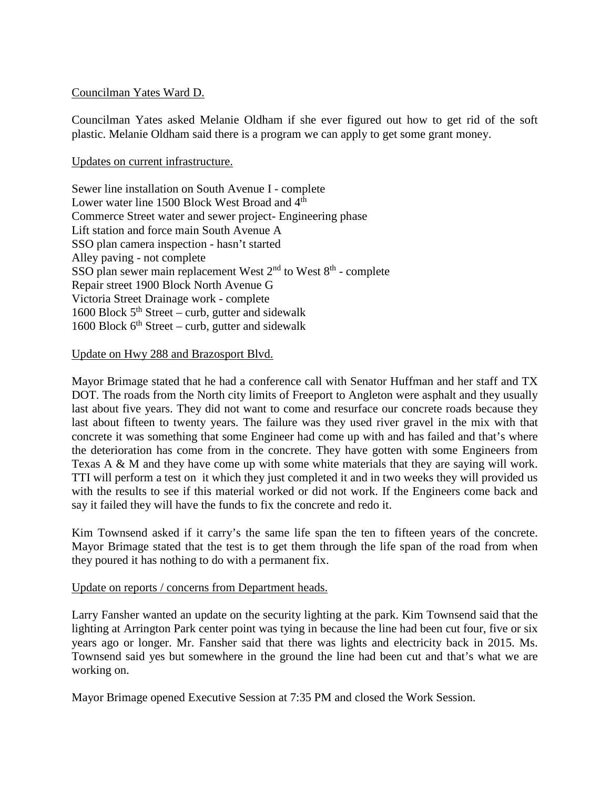#### Councilman Yates Ward D.

Councilman Yates asked Melanie Oldham if she ever figured out how to get rid of the soft plastic. Melanie Oldham said there is a program we can apply to get some grant money.

#### Updates on current infrastructure.

Sewer line installation on South Avenue I - complete Lower water line 1500 Block West Broad and 4<sup>th</sup> Commerce Street water and sewer project- Engineering phase Lift station and force main South Avenue A SSO plan camera inspection - hasn't started Alley paving - not complete SSO plan sewer main replacement West  $2<sup>nd</sup>$  to West  $8<sup>th</sup>$  - complete Repair street 1900 Block North Avenue G Victoria Street Drainage work - complete 1600 Block  $5<sup>th</sup> Street – curb, gutter and sidewalk$ 1600 Block  $6<sup>th</sup> Street - \text{curb}$ , gutter and sidewalk

#### Update on Hwy 288 and Brazosport Blvd.

Mayor Brimage stated that he had a conference call with Senator Huffman and her staff and TX DOT. The roads from the North city limits of Freeport to Angleton were asphalt and they usually last about five years. They did not want to come and resurface our concrete roads because they last about fifteen to twenty years. The failure was they used river gravel in the mix with that concrete it was something that some Engineer had come up with and has failed and that's where the deterioration has come from in the concrete. They have gotten with some Engineers from Texas A & M and they have come up with some white materials that they are saying will work. TTI will perform a test on it which they just completed it and in two weeks they will provided us with the results to see if this material worked or did not work. If the Engineers come back and say it failed they will have the funds to fix the concrete and redo it.

Kim Townsend asked if it carry's the same life span the ten to fifteen years of the concrete. Mayor Brimage stated that the test is to get them through the life span of the road from when they poured it has nothing to do with a permanent fix.

#### Update on reports / concerns from Department heads.

Larry Fansher wanted an update on the security lighting at the park. Kim Townsend said that the lighting at Arrington Park center point was tying in because the line had been cut four, five or six years ago or longer. Mr. Fansher said that there was lights and electricity back in 2015. Ms. Townsend said yes but somewhere in the ground the line had been cut and that's what we are working on.

Mayor Brimage opened Executive Session at 7:35 PM and closed the Work Session.